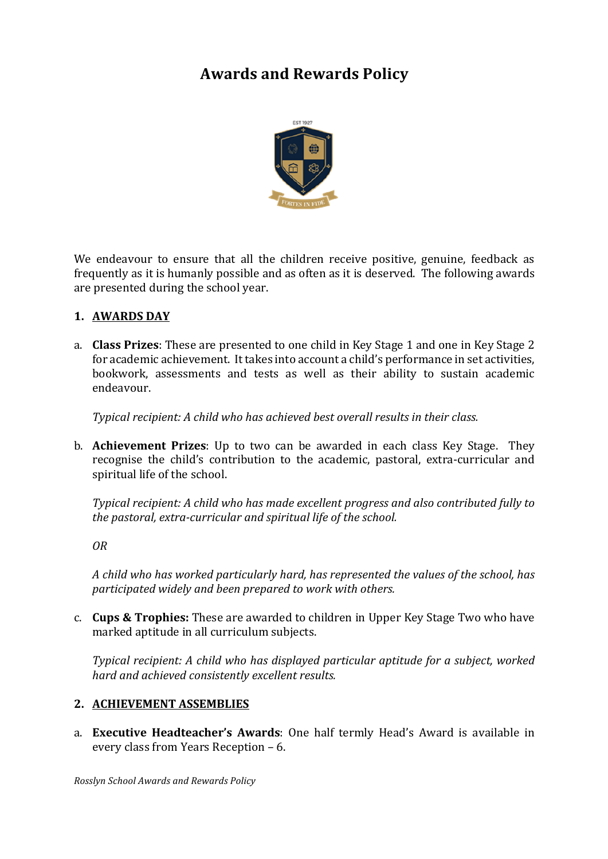# **Awards and Rewards Policy**



We endeavour to ensure that all the children receive positive, genuine, feedback as frequently as it is humanly possible and as often as it is deserved. The following awards are presented during the school vear.

# **1. AWARDS DAY**

a. **Class Prizes**: These are presented to one child in Key Stage 1 and one in Key Stage 2 for academic achievement. It takes into account a child's performance in set activities, bookwork, assessments and tests as well as their ability to sustain academic endeavour.

*Typical recipient: A child who has achieved best overall results in their class.* 

b. **Achievement Prizes**: Up to two can be awarded in each class Key Stage. They recognise the child's contribution to the academic, pastoral, extra-curricular and spiritual life of the school.

*Typical recipient: A child who has made excellent progress and also contributed fully to* the pastoral, extra-curricular and spiritual life of the school.

*OR*

A child who has worked particularly hard, has represented the values of the school, has *participated widely and been prepared to work with others.*

c. **Cups & Trophies:** These are awarded to children in Upper Key Stage Two who have marked aptitude in all curriculum subjects.

*Typical recipient: A child who has displayed particular aptitude for a subject, worked hard and achieved consistently excellent results.*

# **2. ACHIEVEMENT ASSEMBLIES**

a. **Executive Headteacher's Awards**: One half termly Head's Award is available in every class from Years Reception - 6.

*Rosslyn School Awards and Rewards Policy*